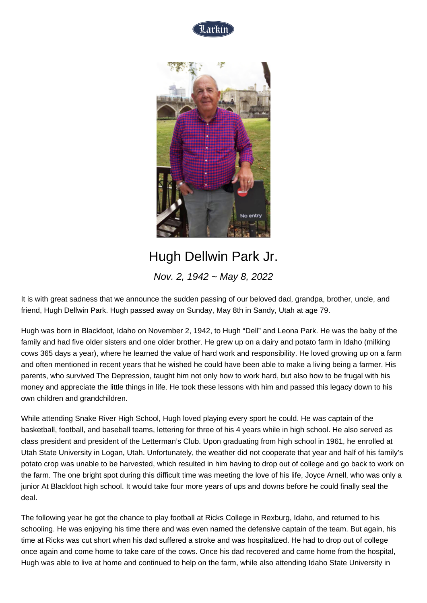



## Hugh Dellwin Park Jr.

Nov. 2, 1942 ~ May 8, 2022

It is with great sadness that we announce the sudden passing of our beloved dad, grandpa, brother, uncle, and friend, Hugh Dellwin Park. Hugh passed away on Sunday, May 8th in Sandy, Utah at age 79.

Hugh was born in Blackfoot, Idaho on November 2, 1942, to Hugh "Dell" and Leona Park. He was the baby of the family and had five older sisters and one older brother. He grew up on a dairy and potato farm in Idaho (milking cows 365 days a year), where he learned the value of hard work and responsibility. He loved growing up on a farm and often mentioned in recent years that he wished he could have been able to make a living being a farmer. His parents, who survived The Depression, taught him not only how to work hard, but also how to be frugal with his money and appreciate the little things in life. He took these lessons with him and passed this legacy down to his own children and grandchildren.

While attending Snake River High School, Hugh loved playing every sport he could. He was captain of the basketball, football, and baseball teams, lettering for three of his 4 years while in high school. He also served as class president and president of the Letterman's Club. Upon graduating from high school in 1961, he enrolled at Utah State University in Logan, Utah. Unfortunately, the weather did not cooperate that year and half of his family's potato crop was unable to be harvested, which resulted in him having to drop out of college and go back to work on the farm. The one bright spot during this difficult time was meeting the love of his life, Joyce Arnell, who was only a junior At Blackfoot high school. It would take four more years of ups and downs before he could finally seal the deal.

The following year he got the chance to play football at Ricks College in Rexburg, Idaho, and returned to his schooling. He was enjoying his time there and was even named the defensive captain of the team. But again, his time at Ricks was cut short when his dad suffered a stroke and was hospitalized. He had to drop out of college once again and come home to take care of the cows. Once his dad recovered and came home from the hospital, Hugh was able to live at home and continued to help on the farm, while also attending Idaho State University in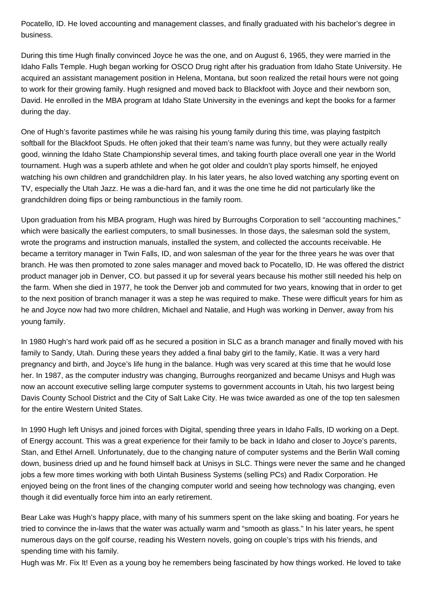Pocatello, ID. He loved accounting and management classes, and finally graduated with his bachelor's degree in business.

During this time Hugh finally convinced Joyce he was the one, and on August 6, 1965, they were married in the Idaho Falls Temple. Hugh began working for OSCO Drug right after his graduation from Idaho State University. He acquired an assistant management position in Helena, Montana, but soon realized the retail hours were not going to work for their growing family. Hugh resigned and moved back to Blackfoot with Joyce and their newborn son, David. He enrolled in the MBA program at Idaho State University in the evenings and kept the books for a farmer during the day.

One of Hugh's favorite pastimes while he was raising his young family during this time, was playing fastpitch softball for the Blackfoot Spuds. He often joked that their team's name was funny, but they were actually really good, winning the Idaho State Championship several times, and taking fourth place overall one year in the World tournament. Hugh was a superb athlete and when he got older and couldn't play sports himself, he enjoyed watching his own children and grandchildren play. In his later years, he also loved watching any sporting event on TV, especially the Utah Jazz. He was a die-hard fan, and it was the one time he did not particularly like the grandchildren doing flips or being rambunctious in the family room.

Upon graduation from his MBA program, Hugh was hired by Burroughs Corporation to sell "accounting machines," which were basically the earliest computers, to small businesses. In those days, the salesman sold the system, wrote the programs and instruction manuals, installed the system, and collected the accounts receivable. He became a territory manager in Twin Falls, ID, and won salesman of the year for the three years he was over that branch. He was then promoted to zone sales manager and moved back to Pocatello, ID. He was offered the district product manager job in Denver, CO. but passed it up for several years because his mother still needed his help on the farm. When she died in 1977, he took the Denver job and commuted for two years, knowing that in order to get to the next position of branch manager it was a step he was required to make. These were difficult years for him as he and Joyce now had two more children, Michael and Natalie, and Hugh was working in Denver, away from his young family.

In 1980 Hugh's hard work paid off as he secured a position in SLC as a branch manager and finally moved with his family to Sandy, Utah. During these years they added a final baby girl to the family, Katie. It was a very hard pregnancy and birth, and Joyce's life hung in the balance. Hugh was very scared at this time that he would lose her. In 1987, as the computer industry was changing, Burroughs reorganized and became Unisys and Hugh was now an account executive selling large computer systems to government accounts in Utah, his two largest being Davis County School District and the City of Salt Lake City. He was twice awarded as one of the top ten salesmen for the entire Western United States.

In 1990 Hugh left Unisys and joined forces with Digital, spending three years in Idaho Falls, ID working on a Dept. of Energy account. This was a great experience for their family to be back in Idaho and closer to Joyce's parents, Stan, and Ethel Arnell. Unfortunately, due to the changing nature of computer systems and the Berlin Wall coming down, business dried up and he found himself back at Unisys in SLC. Things were never the same and he changed jobs a few more times working with both Uintah Business Systems (selling PCs) and Radix Corporation. He enjoyed being on the front lines of the changing computer world and seeing how technology was changing, even though it did eventually force him into an early retirement.

Bear Lake was Hugh's happy place, with many of his summers spent on the lake skiing and boating. For years he tried to convince the in-laws that the water was actually warm and "smooth as glass." In his later years, he spent numerous days on the golf course, reading his Western novels, going on couple's trips with his friends, and spending time with his family.

Hugh was Mr. Fix It! Even as a young boy he remembers being fascinated by how things worked. He loved to take